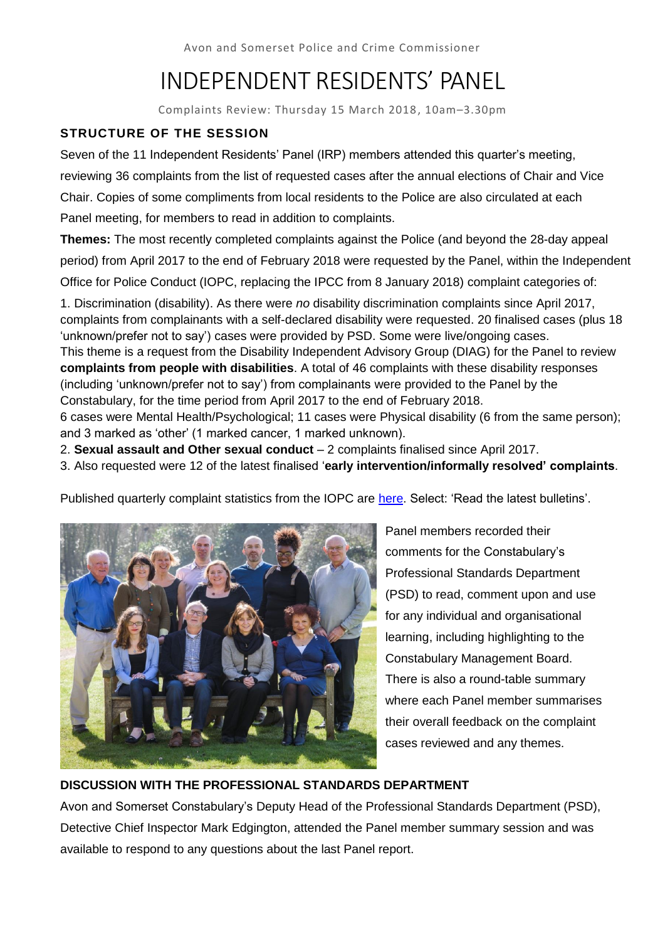Avon and Somerset Police and Crime Commissioner

# INDEPENDENT RESIDENTS' PANEL

Complaints Review: Thursday 15 March 2018, 10am–3.30pm

## **STRUCTURE OF THE SESSION**

Seven of the 11 Independent Residents' Panel (IRP) members attended this quarter's meeting, reviewing 36 complaints from the list of requested cases after the annual elections of Chair and Vice Chair. Copies of some compliments from local residents to the Police are also circulated at each Panel meeting, for members to read in addition to complaints.

**Themes:** The most recently completed complaints against the Police (and beyond the 28-day appeal period) from April 2017 to the end of February 2018 were requested by the Panel, within the Independent

Office for Police Conduct (IOPC, replacing the IPCC from 8 January 2018) complaint categories of:

1. Discrimination (disability). As there were *no* disability discrimination complaints since April 2017, complaints from complainants with a self-declared disability were requested. 20 finalised cases (plus 18 'unknown/prefer not to say') cases were provided by PSD. Some were live/ongoing cases. This theme is a request from the Disability Independent Advisory Group (DIAG) for the Panel to review **complaints from people with disabilities**. A total of 46 complaints with these disability responses (including 'unknown/prefer not to say') from complainants were provided to the Panel by the

Constabulary, for the time period from April 2017 to the end of February 2018. 6 cases were Mental Health/Psychological; 11 cases were Physical disability (6 from the same person);

and 3 marked as 'other' (1 marked cancer, 1 marked unknown).

2. **Sexual assault and Other sexual conduct** – 2 complaints finalised since April 2017.

3. Also requested were 12 of the latest finalised '**early intervention/informally resolved' complaints**.

Published quarterly complaint statistics from the IOPC are [here.](https://policeconduct.gov.uk/tags/avon-and-somerset-constabulary) Select: 'Read the latest bulletins'.



Panel members recorded their comments for the Constabulary's Professional Standards Department (PSD) to read, comment upon and use for any individual and organisational learning, including highlighting to the Constabulary Management Board. There is also a round-table summary where each Panel member summarises their overall feedback on the complaint cases reviewed and any themes.

## **DISCUSSION WITH THE PROFESSIONAL STANDARDS DEPARTMENT**

Avon and Somerset Constabulary's Deputy Head of the Professional Standards Department (PSD), Detective Chief Inspector Mark Edgington, attended the Panel member summary session and was available to respond to any questions about the last Panel report.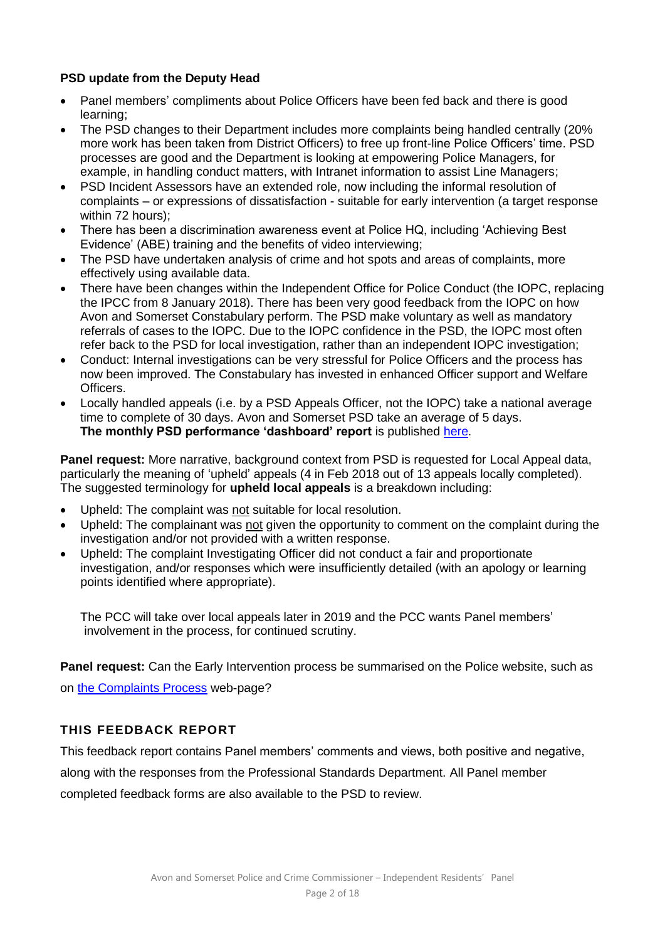## **PSD update from the Deputy Head**

- Panel members' compliments about Police Officers have been fed back and there is good learning;
- The PSD changes to their Department includes more complaints being handled centrally (20% more work has been taken from District Officers) to free up front-line Police Officers' time. PSD processes are good and the Department is looking at empowering Police Managers, for example, in handling conduct matters, with Intranet information to assist Line Managers;
- PSD Incident Assessors have an extended role, now including the informal resolution of complaints – or expressions of dissatisfaction - suitable for early intervention (a target response within 72 hours);
- There has been a discrimination awareness event at Police HQ, including 'Achieving Best Evidence' (ABE) training and the benefits of video interviewing;
- The PSD have undertaken analysis of crime and hot spots and areas of complaints, more effectively using available data.
- There have been changes within the Independent Office for Police Conduct (the IOPC, replacing the IPCC from 8 January 2018). There has been very good feedback from the IOPC on how Avon and Somerset Constabulary perform. The PSD make voluntary as well as mandatory referrals of cases to the IOPC. Due to the IOPC confidence in the PSD, the IOPC most often refer back to the PSD for local investigation, rather than an independent IOPC investigation;
- Conduct: Internal investigations can be very stressful for Police Officers and the process has now been improved. The Constabulary has invested in enhanced Officer support and Welfare Officers.
- Locally handled appeals (i.e. by a PSD Appeals Officer, not the IOPC) take a national average time to complete of 30 days. Avon and Somerset PSD take an average of 5 days. The monthly PSD performance 'dashboard' report is published [here.](https://www.avonandsomerset.police.uk/about-us/publication-scheme/what-our-priorities-are-and-how-we-are-doing/professional-standards-performance-information/)

**Panel request:** More narrative, background context from PSD is requested for Local Appeal data, particularly the meaning of 'upheld' appeals (4 in Feb 2018 out of 13 appeals locally completed). The suggested terminology for **upheld local appeals** is a breakdown including:

- Upheld: The complaint was not suitable for local resolution.
- Upheld: The complainant was not given the opportunity to comment on the complaint during the investigation and/or not provided with a written response.
- Upheld: The complaint Investigating Officer did not conduct a fair and proportionate investigation, and/or responses which were insufficiently detailed (with an apology or learning points identified where appropriate).

The PCC will take over local appeals later in 2019 and the PCC wants Panel members' involvement in the process, for continued scrutiny.

**Panel request:** Can the Early Intervention process be summarised on the Police website, such as on [the Complaints Process](https://www.avonandsomerset.police.uk/contact-us/complaints/the-complaints-process/) web-page?

## **THIS FEEDBACK REPORT**

This feedback report contains Panel members' comments and views, both positive and negative,

along with the responses from the Professional Standards Department. All Panel member

completed feedback forms are also available to the PSD to review.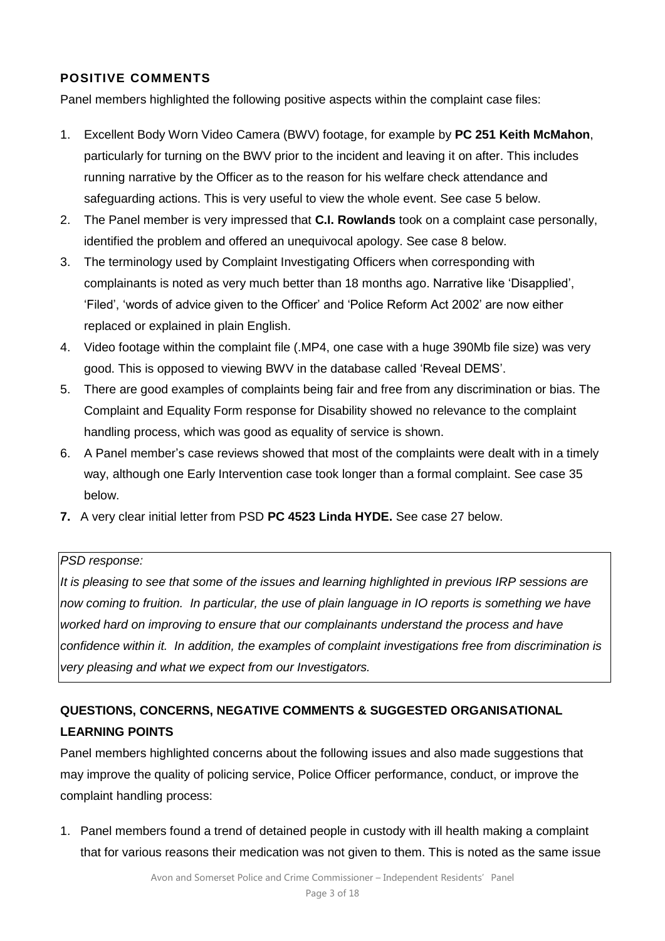## **POSITIVE COMMENTS**

Panel members highlighted the following positive aspects within the complaint case files:

- 1. Excellent Body Worn Video Camera (BWV) footage, for example by **PC 251 Keith McMahon**, particularly for turning on the BWV prior to the incident and leaving it on after. This includes running narrative by the Officer as to the reason for his welfare check attendance and safeguarding actions. This is very useful to view the whole event. See case 5 below.
- 2. The Panel member is very impressed that **C.I. Rowlands** took on a complaint case personally, identified the problem and offered an unequivocal apology. See case 8 below.
- 3. The terminology used by Complaint Investigating Officers when corresponding with complainants is noted as very much better than 18 months ago. Narrative like 'Disapplied', 'Filed', 'words of advice given to the Officer' and 'Police Reform Act 2002' are now either replaced or explained in plain English.
- 4. Video footage within the complaint file (.MP4, one case with a huge 390Mb file size) was very good. This is opposed to viewing BWV in the database called 'Reveal DEMS'.
- 5. There are good examples of complaints being fair and free from any discrimination or bias. The Complaint and Equality Form response for Disability showed no relevance to the complaint handling process, which was good as equality of service is shown.
- 6. A Panel member's case reviews showed that most of the complaints were dealt with in a timely way, although one Early Intervention case took longer than a formal complaint. See case 35 below.
- **7.** A very clear initial letter from PSD **PC 4523 Linda HYDE.** See case 27 below.

## *PSD response:*

*It is pleasing to see that some of the issues and learning highlighted in previous IRP sessions are now coming to fruition. In particular, the use of plain language in IO reports is something we have worked hard on improving to ensure that our complainants understand the process and have confidence within it. In addition, the examples of complaint investigations free from discrimination is very pleasing and what we expect from our Investigators.* 

## **QUESTIONS, CONCERNS, NEGATIVE COMMENTS & SUGGESTED ORGANISATIONAL LEARNING POINTS**

Panel members highlighted concerns about the following issues and also made suggestions that may improve the quality of policing service, Police Officer performance, conduct, or improve the complaint handling process:

1. Panel members found a trend of detained people in custody with ill health making a complaint that for various reasons their medication was not given to them. This is noted as the same issue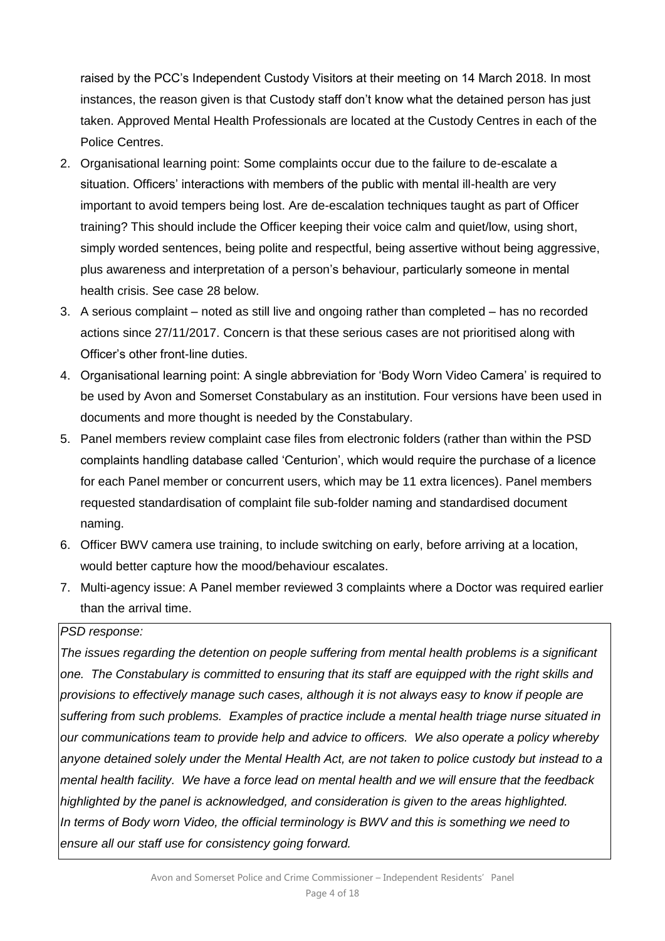raised by the PCC's Independent Custody Visitors at their meeting on 14 March 2018. In most instances, the reason given is that Custody staff don't know what the detained person has just taken. Approved Mental Health Professionals are located at the Custody Centres in each of the Police Centres.

- 2. Organisational learning point: Some complaints occur due to the failure to de-escalate a situation. Officers' interactions with members of the public with mental ill-health are very important to avoid tempers being lost. Are de-escalation techniques taught as part of Officer training? This should include the Officer keeping their voice calm and quiet/low, using short, simply worded sentences, being polite and respectful, being assertive without being aggressive, plus awareness and interpretation of a person's behaviour, particularly someone in mental health crisis. See case 28 below.
- 3. A serious complaint noted as still live and ongoing rather than completed has no recorded actions since 27/11/2017. Concern is that these serious cases are not prioritised along with Officer's other front-line duties.
- 4. Organisational learning point: A single abbreviation for 'Body Worn Video Camera' is required to be used by Avon and Somerset Constabulary as an institution. Four versions have been used in documents and more thought is needed by the Constabulary.
- 5. Panel members review complaint case files from electronic folders (rather than within the PSD complaints handling database called 'Centurion', which would require the purchase of a licence for each Panel member or concurrent users, which may be 11 extra licences). Panel members requested standardisation of complaint file sub-folder naming and standardised document naming.
- 6. Officer BWV camera use training, to include switching on early, before arriving at a location, would better capture how the mood/behaviour escalates.
- 7. Multi-agency issue: A Panel member reviewed 3 complaints where a Doctor was required earlier than the arrival time.

#### *PSD response:*

*The issues regarding the detention on people suffering from mental health problems is a significant one. The Constabulary is committed to ensuring that its staff are equipped with the right skills and provisions to effectively manage such cases, although it is not always easy to know if people are suffering from such problems. Examples of practice include a mental health triage nurse situated in our communications team to provide help and advice to officers. We also operate a policy whereby anyone detained solely under the Mental Health Act, are not taken to police custody but instead to a mental health facility. We have a force lead on mental health and we will ensure that the feedback highlighted by the panel is acknowledged, and consideration is given to the areas highlighted. In terms of Body worn Video, the official terminology is BWV and this is something we need to ensure all our staff use for consistency going forward.*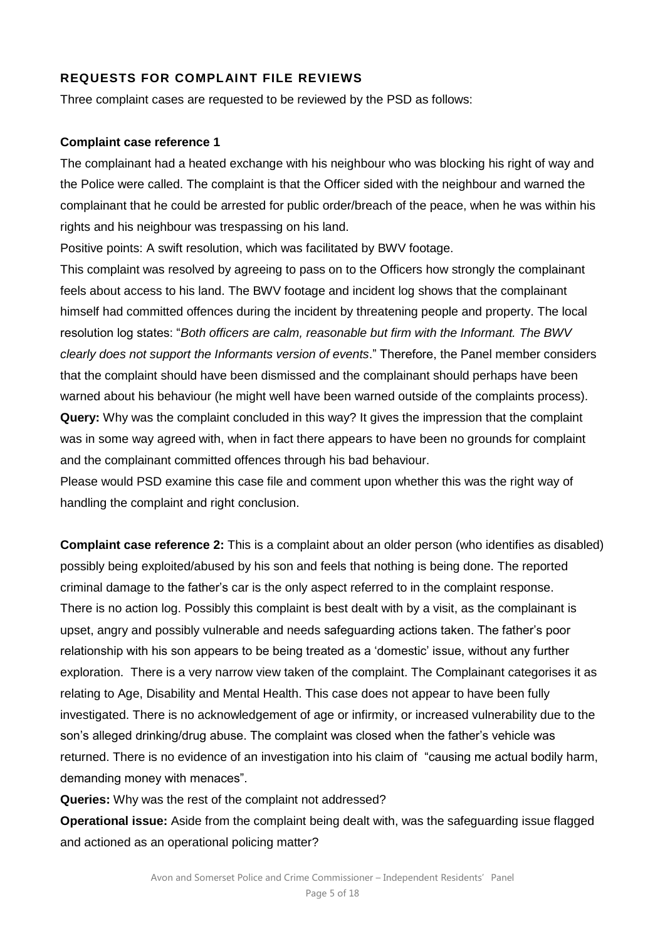## **REQUESTS FOR COMPLAINT FILE REVIEWS**

Three complaint cases are requested to be reviewed by the PSD as follows:

#### **Complaint case reference 1**

The complainant had a heated exchange with his neighbour who was blocking his right of way and the Police were called. The complaint is that the Officer sided with the neighbour and warned the complainant that he could be arrested for public order/breach of the peace, when he was within his rights and his neighbour was trespassing on his land.

Positive points: A swift resolution, which was facilitated by BWV footage.

This complaint was resolved by agreeing to pass on to the Officers how strongly the complainant feels about access to his land. The BWV footage and incident log shows that the complainant himself had committed offences during the incident by threatening people and property. The local resolution log states: "*Both officers are calm, reasonable but firm with the Informant. The BWV clearly does not support the Informants version of events*." Therefore, the Panel member considers that the complaint should have been dismissed and the complainant should perhaps have been warned about his behaviour (he might well have been warned outside of the complaints process). **Query:** Why was the complaint concluded in this way? It gives the impression that the complaint was in some way agreed with, when in fact there appears to have been no grounds for complaint and the complainant committed offences through his bad behaviour.

Please would PSD examine this case file and comment upon whether this was the right way of handling the complaint and right conclusion.

**Complaint case reference 2:** This is a complaint about an older person (who identifies as disabled) possibly being exploited/abused by his son and feels that nothing is being done. The reported criminal damage to the father's car is the only aspect referred to in the complaint response. There is no action log. Possibly this complaint is best dealt with by a visit, as the complainant is upset, angry and possibly vulnerable and needs safeguarding actions taken. The father's poor relationship with his son appears to be being treated as a 'domestic' issue, without any further exploration. There is a very narrow view taken of the complaint. The Complainant categorises it as relating to Age, Disability and Mental Health. This case does not appear to have been fully investigated. There is no acknowledgement of age or infirmity, or increased vulnerability due to the son's alleged drinking/drug abuse. The complaint was closed when the father's vehicle was returned. There is no evidence of an investigation into his claim of "causing me actual bodily harm, demanding money with menaces".

**Queries:** Why was the rest of the complaint not addressed?

**Operational issue:** Aside from the complaint being dealt with, was the safeguarding issue flagged and actioned as an operational policing matter?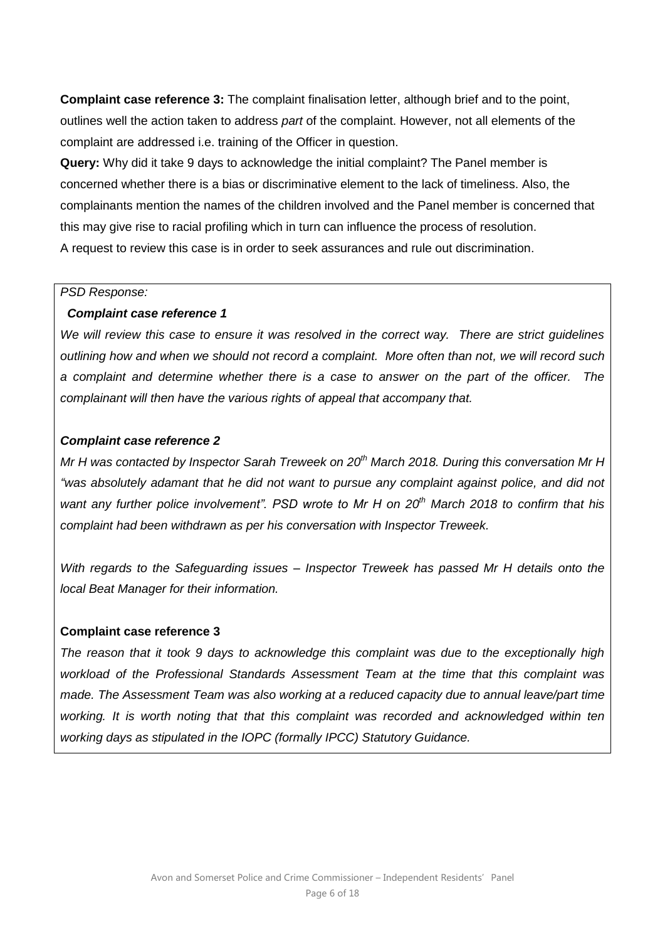**Complaint case reference 3:** The complaint finalisation letter, although brief and to the point, outlines well the action taken to address *part* of the complaint. However, not all elements of the complaint are addressed i.e. training of the Officer in question.

**Query:** Why did it take 9 days to acknowledge the initial complaint? The Panel member is concerned whether there is a bias or discriminative element to the lack of timeliness. Also, the complainants mention the names of the children involved and the Panel member is concerned that this may give rise to racial profiling which in turn can influence the process of resolution. A request to review this case is in order to seek assurances and rule out discrimination.

#### *PSD Response:*

#### *Complaint case reference 1*

*We will review this case to ensure it was resolved in the correct way. There are strict guidelines outlining how and when we should not record a complaint. More often than not, we will record such a complaint and determine whether there is a case to answer on the part of the officer. The complainant will then have the various rights of appeal that accompany that.* 

#### *Complaint case reference 2*

*Mr H was contacted by Inspector Sarah Treweek on 20th March 2018. During this conversation Mr H "was absolutely adamant that he did not want to pursue any complaint against police, and did not want any further police involvement". PSD wrote to Mr H on 20th March 2018 to confirm that his complaint had been withdrawn as per his conversation with Inspector Treweek.* 

*With regards to the Safeguarding issues – Inspector Treweek has passed Mr H details onto the local Beat Manager for their information.* 

#### **Complaint case reference 3**

*The reason that it took 9 days to acknowledge this complaint was due to the exceptionally high workload of the Professional Standards Assessment Team at the time that this complaint was made. The Assessment Team was also working at a reduced capacity due to annual leave/part time working. It is worth noting that that this complaint was recorded and acknowledged within ten working days as stipulated in the IOPC (formally IPCC) Statutory Guidance.*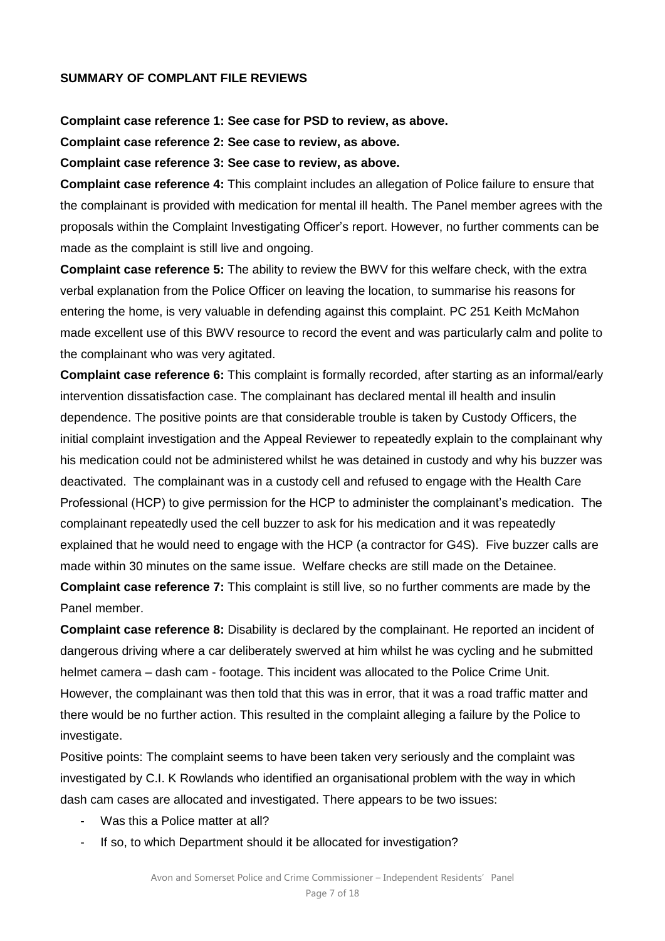#### **SUMMARY OF COMPLANT FILE REVIEWS**

#### **Complaint case reference 1: See case for PSD to review, as above.**

**Complaint case reference 2: See case to review, as above.**

#### **Complaint case reference 3: See case to review, as above.**

**Complaint case reference 4:** This complaint includes an allegation of Police failure to ensure that the complainant is provided with medication for mental ill health. The Panel member agrees with the proposals within the Complaint Investigating Officer's report. However, no further comments can be made as the complaint is still live and ongoing.

**Complaint case reference 5:** The ability to review the BWV for this welfare check, with the extra verbal explanation from the Police Officer on leaving the location, to summarise his reasons for entering the home, is very valuable in defending against this complaint. PC 251 Keith McMahon made excellent use of this BWV resource to record the event and was particularly calm and polite to the complainant who was very agitated.

**Complaint case reference 6:** This complaint is formally recorded, after starting as an informal/early intervention dissatisfaction case. The complainant has declared mental ill health and insulin dependence. The positive points are that considerable trouble is taken by Custody Officers, the initial complaint investigation and the Appeal Reviewer to repeatedly explain to the complainant why his medication could not be administered whilst he was detained in custody and why his buzzer was deactivated. The complainant was in a custody cell and refused to engage with the Health Care Professional (HCP) to give permission for the HCP to administer the complainant's medication. The complainant repeatedly used the cell buzzer to ask for his medication and it was repeatedly explained that he would need to engage with the HCP (a contractor for G4S). Five buzzer calls are made within 30 minutes on the same issue. Welfare checks are still made on the Detainee. **Complaint case reference 7:** This complaint is still live, so no further comments are made by the Panel member.

**Complaint case reference 8:** Disability is declared by the complainant. He reported an incident of dangerous driving where a car deliberately swerved at him whilst he was cycling and he submitted helmet camera – dash cam - footage. This incident was allocated to the Police Crime Unit. However, the complainant was then told that this was in error, that it was a road traffic matter and there would be no further action. This resulted in the complaint alleging a failure by the Police to investigate.

Positive points: The complaint seems to have been taken very seriously and the complaint was investigated by C.I. K Rowlands who identified an organisational problem with the way in which dash cam cases are allocated and investigated. There appears to be two issues:

- Was this a Police matter at all?
- If so, to which Department should it be allocated for investigation?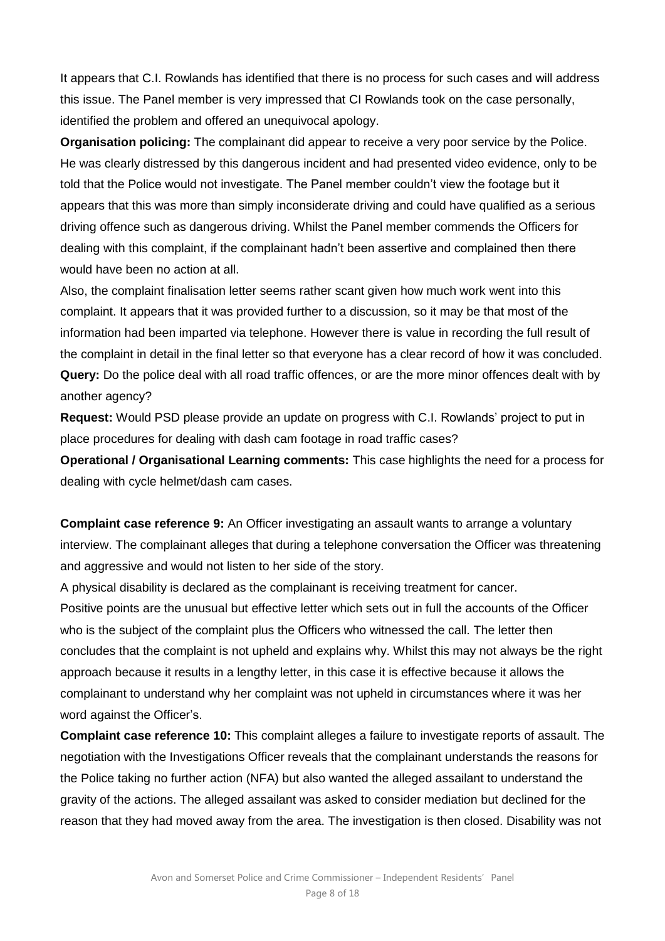It appears that C.I. Rowlands has identified that there is no process for such cases and will address this issue. The Panel member is very impressed that CI Rowlands took on the case personally, identified the problem and offered an unequivocal apology.

**Organisation policing:** The complainant did appear to receive a very poor service by the Police. He was clearly distressed by this dangerous incident and had presented video evidence, only to be told that the Police would not investigate. The Panel member couldn't view the footage but it appears that this was more than simply inconsiderate driving and could have qualified as a serious driving offence such as dangerous driving. Whilst the Panel member commends the Officers for dealing with this complaint, if the complainant hadn't been assertive and complained then there would have been no action at all.

Also, the complaint finalisation letter seems rather scant given how much work went into this complaint. It appears that it was provided further to a discussion, so it may be that most of the information had been imparted via telephone. However there is value in recording the full result of the complaint in detail in the final letter so that everyone has a clear record of how it was concluded. **Query:** Do the police deal with all road traffic offences, or are the more minor offences dealt with by another agency?

**Request:** Would PSD please provide an update on progress with C.I. Rowlands' project to put in place procedures for dealing with dash cam footage in road traffic cases?

**Operational / Organisational Learning comments:** This case highlights the need for a process for dealing with cycle helmet/dash cam cases.

**Complaint case reference 9:** An Officer investigating an assault wants to arrange a voluntary interview. The complainant alleges that during a telephone conversation the Officer was threatening and aggressive and would not listen to her side of the story.

A physical disability is declared as the complainant is receiving treatment for cancer. Positive points are the unusual but effective letter which sets out in full the accounts of the Officer who is the subject of the complaint plus the Officers who witnessed the call. The letter then concludes that the complaint is not upheld and explains why. Whilst this may not always be the right approach because it results in a lengthy letter, in this case it is effective because it allows the complainant to understand why her complaint was not upheld in circumstances where it was her word against the Officer's.

**Complaint case reference 10:** This complaint alleges a failure to investigate reports of assault. The negotiation with the Investigations Officer reveals that the complainant understands the reasons for the Police taking no further action (NFA) but also wanted the alleged assailant to understand the gravity of the actions. The alleged assailant was asked to consider mediation but declined for the reason that they had moved away from the area. The investigation is then closed. Disability was not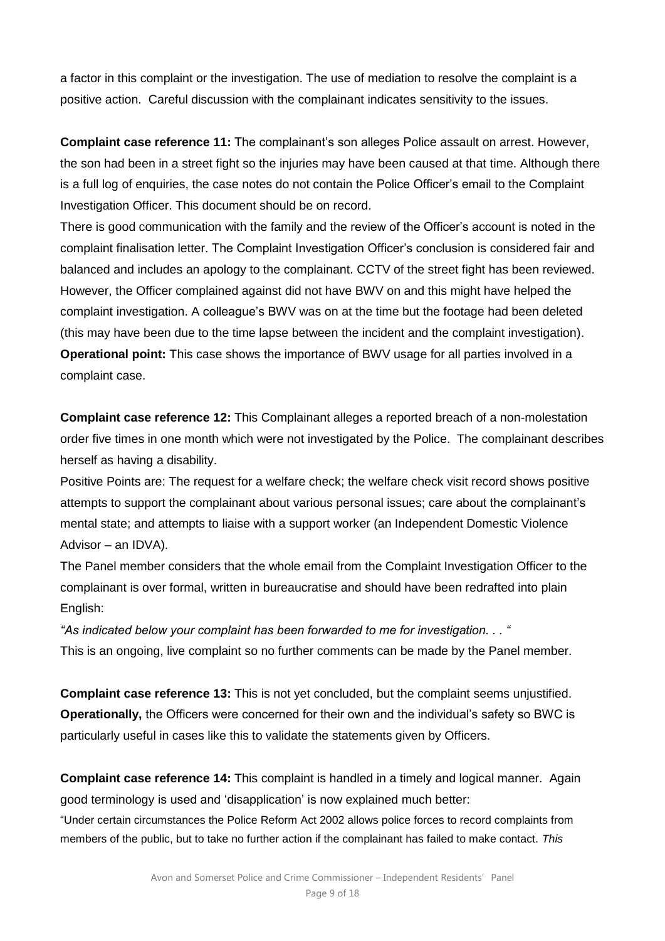a factor in this complaint or the investigation. The use of mediation to resolve the complaint is a positive action. Careful discussion with the complainant indicates sensitivity to the issues.

**Complaint case reference 11:** The complainant's son alleges Police assault on arrest. However, the son had been in a street fight so the injuries may have been caused at that time. Although there is a full log of enquiries, the case notes do not contain the Police Officer's email to the Complaint Investigation Officer. This document should be on record.

There is good communication with the family and the review of the Officer's account is noted in the complaint finalisation letter. The Complaint Investigation Officer's conclusion is considered fair and balanced and includes an apology to the complainant. CCTV of the street fight has been reviewed. However, the Officer complained against did not have BWV on and this might have helped the complaint investigation. A colleague's BWV was on at the time but the footage had been deleted (this may have been due to the time lapse between the incident and the complaint investigation). **Operational point:** This case shows the importance of BWV usage for all parties involved in a complaint case.

**Complaint case reference 12:** This Complainant alleges a reported breach of a non-molestation order five times in one month which were not investigated by the Police. The complainant describes herself as having a disability.

Positive Points are: The request for a welfare check; the welfare check visit record shows positive attempts to support the complainant about various personal issues; care about the complainant's mental state; and attempts to liaise with a support worker (an Independent Domestic Violence Advisor – an IDVA).

The Panel member considers that the whole email from the Complaint Investigation Officer to the complainant is over formal, written in bureaucratise and should have been redrafted into plain English:

*"As indicated below your complaint has been forwarded to me for investigation. . . "*  This is an ongoing, live complaint so no further comments can be made by the Panel member.

**Complaint case reference 13:** This is not yet concluded, but the complaint seems unjustified. **Operationally,** the Officers were concerned for their own and the individual's safety so BWC is particularly useful in cases like this to validate the statements given by Officers.

**Complaint case reference 14:** This complaint is handled in a timely and logical manner. Again good terminology is used and 'disapplication' is now explained much better:

"Under certain circumstances the Police Reform Act 2002 allows police forces to record complaints from members of the public, but to take no further action if the complainant has failed to make contact. *This*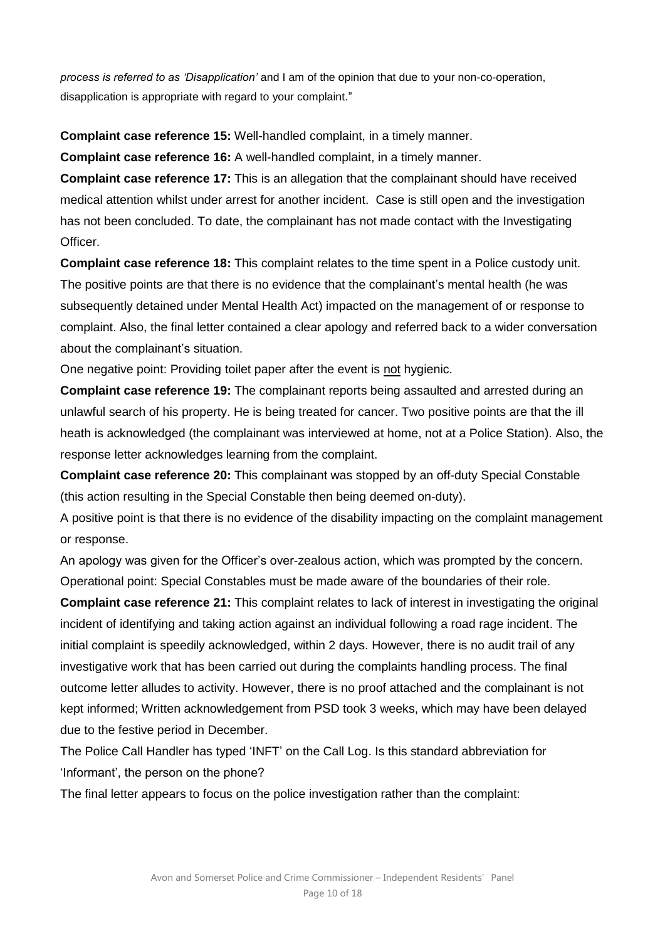*process is referred to as 'Disapplication'* and I am of the opinion that due to your non-co-operation, disapplication is appropriate with regard to your complaint."

**Complaint case reference 15:** Well-handled complaint, in a timely manner.

**Complaint case reference 16:** A well-handled complaint, in a timely manner.

**Complaint case reference 17:** This is an allegation that the complainant should have received medical attention whilst under arrest for another incident. Case is still open and the investigation has not been concluded. To date, the complainant has not made contact with the Investigating Officer.

**Complaint case reference 18:** This complaint relates to the time spent in a Police custody unit. The positive points are that there is no evidence that the complainant's mental health (he was subsequently detained under Mental Health Act) impacted on the management of or response to complaint. Also, the final letter contained a clear apology and referred back to a wider conversation about the complainant's situation.

One negative point: Providing toilet paper after the event is not hygienic.

**Complaint case reference 19:** The complainant reports being assaulted and arrested during an unlawful search of his property. He is being treated for cancer. Two positive points are that the ill heath is acknowledged (the complainant was interviewed at home, not at a Police Station). Also, the response letter acknowledges learning from the complaint.

**Complaint case reference 20:** This complainant was stopped by an off-duty Special Constable (this action resulting in the Special Constable then being deemed on-duty).

A positive point is that there is no evidence of the disability impacting on the complaint management or response.

An apology was given for the Officer's over-zealous action, which was prompted by the concern. Operational point: Special Constables must be made aware of the boundaries of their role.

**Complaint case reference 21:** This complaint relates to lack of interest in investigating the original incident of identifying and taking action against an individual following a road rage incident. The initial complaint is speedily acknowledged, within 2 days. However, there is no audit trail of any investigative work that has been carried out during the complaints handling process. The final outcome letter alludes to activity. However, there is no proof attached and the complainant is not kept informed; Written acknowledgement from PSD took 3 weeks, which may have been delayed due to the festive period in December.

The Police Call Handler has typed 'INFT' on the Call Log. Is this standard abbreviation for 'Informant', the person on the phone?

The final letter appears to focus on the police investigation rather than the complaint: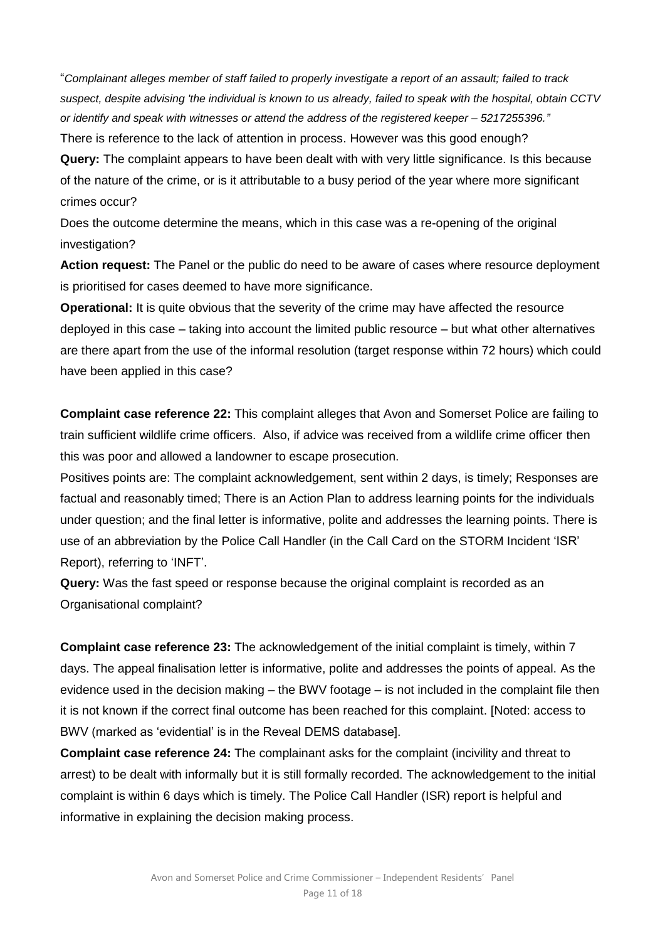"*Complainant alleges member of staff failed to properly investigate a report of an assault; failed to track suspect, despite advising 'the individual is known to us already, failed to speak with the hospital, obtain CCTV or identify and speak with witnesses or attend the address of the registered keeper – 5217255396."* There is reference to the lack of attention in process. However was this good enough?

**Query:** The complaint appears to have been dealt with with very little significance. Is this because of the nature of the crime, or is it attributable to a busy period of the year where more significant crimes occur?

Does the outcome determine the means, which in this case was a re-opening of the original investigation?

**Action request:** The Panel or the public do need to be aware of cases where resource deployment is prioritised for cases deemed to have more significance.

**Operational:** It is quite obvious that the severity of the crime may have affected the resource deployed in this case – taking into account the limited public resource – but what other alternatives are there apart from the use of the informal resolution (target response within 72 hours) which could have been applied in this case?

**Complaint case reference 22:** This complaint alleges that Avon and Somerset Police are failing to train sufficient wildlife crime officers. Also, if advice was received from a wildlife crime officer then this was poor and allowed a landowner to escape prosecution.

Positives points are: The complaint acknowledgement, sent within 2 days, is timely; Responses are factual and reasonably timed; There is an Action Plan to address learning points for the individuals under question; and the final letter is informative, polite and addresses the learning points. There is use of an abbreviation by the Police Call Handler (in the Call Card on the STORM Incident 'ISR' Report), referring to 'INFT'.

**Query:** Was the fast speed or response because the original complaint is recorded as an Organisational complaint?

**Complaint case reference 23:** The acknowledgement of the initial complaint is timely, within 7 days. The appeal finalisation letter is informative, polite and addresses the points of appeal. As the evidence used in the decision making – the BWV footage – is not included in the complaint file then it is not known if the correct final outcome has been reached for this complaint. [Noted: access to BWV (marked as 'evidential' is in the Reveal DEMS database].

**Complaint case reference 24:** The complainant asks for the complaint (incivility and threat to arrest) to be dealt with informally but it is still formally recorded. The acknowledgement to the initial complaint is within 6 days which is timely. The Police Call Handler (ISR) report is helpful and informative in explaining the decision making process.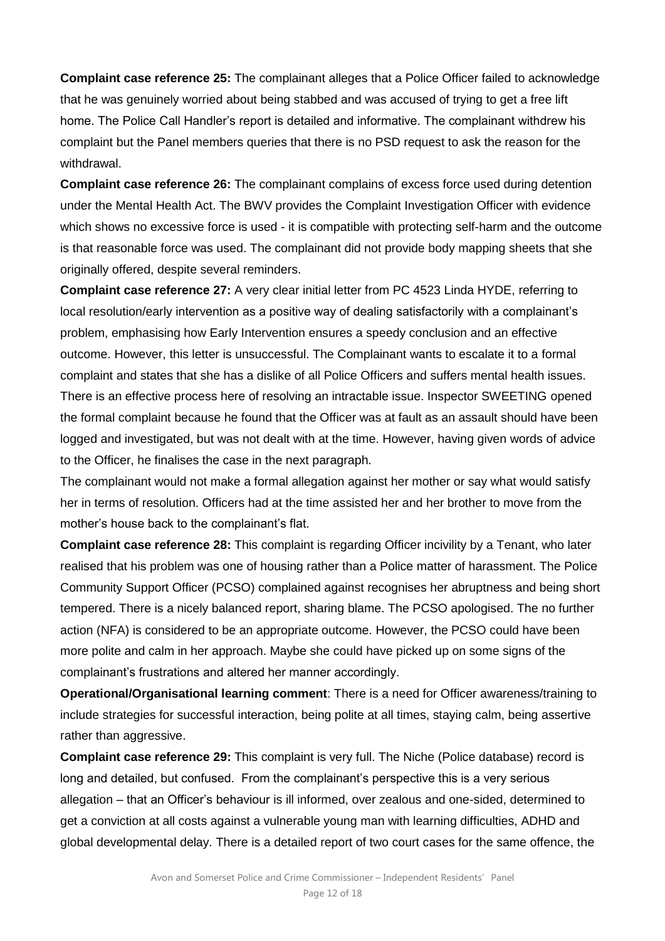**Complaint case reference 25:** The complainant alleges that a Police Officer failed to acknowledge that he was genuinely worried about being stabbed and was accused of trying to get a free lift home. The Police Call Handler's report is detailed and informative. The complainant withdrew his complaint but the Panel members queries that there is no PSD request to ask the reason for the withdrawal.

**Complaint case reference 26:** The complainant complains of excess force used during detention under the Mental Health Act. The BWV provides the Complaint Investigation Officer with evidence which shows no excessive force is used - it is compatible with protecting self-harm and the outcome is that reasonable force was used. The complainant did not provide body mapping sheets that she originally offered, despite several reminders.

**Complaint case reference 27:** A very clear initial letter from PC 4523 Linda HYDE, referring to local resolution/early intervention as a positive way of dealing satisfactorily with a complainant's problem, emphasising how Early Intervention ensures a speedy conclusion and an effective outcome. However, this letter is unsuccessful. The Complainant wants to escalate it to a formal complaint and states that she has a dislike of all Police Officers and suffers mental health issues. There is an effective process here of resolving an intractable issue. Inspector SWEETING opened the formal complaint because he found that the Officer was at fault as an assault should have been logged and investigated, but was not dealt with at the time. However, having given words of advice to the Officer, he finalises the case in the next paragraph.

The complainant would not make a formal allegation against her mother or say what would satisfy her in terms of resolution. Officers had at the time assisted her and her brother to move from the mother's house back to the complainant's flat.

**Complaint case reference 28:** This complaint is regarding Officer incivility by a Tenant, who later realised that his problem was one of housing rather than a Police matter of harassment. The Police Community Support Officer (PCSO) complained against recognises her abruptness and being short tempered. There is a nicely balanced report, sharing blame. The PCSO apologised. The no further action (NFA) is considered to be an appropriate outcome. However, the PCSO could have been more polite and calm in her approach. Maybe she could have picked up on some signs of the complainant's frustrations and altered her manner accordingly.

**Operational/Organisational learning comment**: There is a need for Officer awareness/training to include strategies for successful interaction, being polite at all times, staying calm, being assertive rather than aggressive.

**Complaint case reference 29:** This complaint is very full. The Niche (Police database) record is long and detailed, but confused. From the complainant's perspective this is a very serious allegation – that an Officer's behaviour is ill informed, over zealous and one-sided, determined to get a conviction at all costs against a vulnerable young man with learning difficulties, ADHD and global developmental delay. There is a detailed report of two court cases for the same offence, the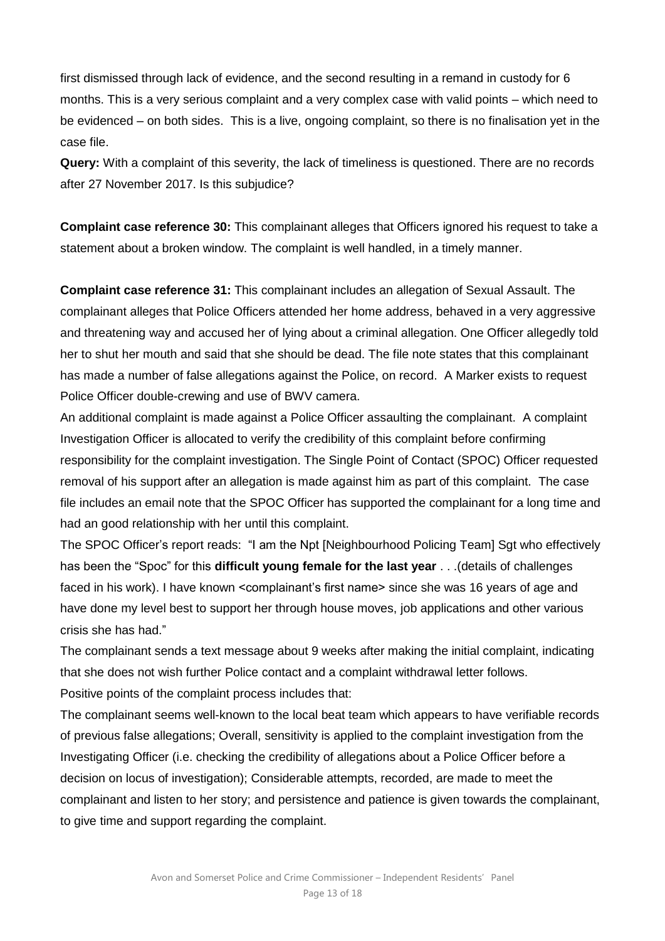first dismissed through lack of evidence, and the second resulting in a remand in custody for 6 months. This is a very serious complaint and a very complex case with valid points – which need to be evidenced – on both sides. This is a live, ongoing complaint, so there is no finalisation yet in the case file.

**Query:** With a complaint of this severity, the lack of timeliness is questioned. There are no records after 27 November 2017. Is this subjudice?

**Complaint case reference 30:** This complainant alleges that Officers ignored his request to take a statement about a broken window. The complaint is well handled, in a timely manner.

**Complaint case reference 31:** This complainant includes an allegation of Sexual Assault. The complainant alleges that Police Officers attended her home address, behaved in a very aggressive and threatening way and accused her of lying about a criminal allegation. One Officer allegedly told her to shut her mouth and said that she should be dead. The file note states that this complainant has made a number of false allegations against the Police, on record. A Marker exists to request Police Officer double-crewing and use of BWV camera.

An additional complaint is made against a Police Officer assaulting the complainant. A complaint Investigation Officer is allocated to verify the credibility of this complaint before confirming responsibility for the complaint investigation. The Single Point of Contact (SPOC) Officer requested removal of his support after an allegation is made against him as part of this complaint. The case file includes an email note that the SPOC Officer has supported the complainant for a long time and had an good relationship with her until this complaint.

The SPOC Officer's report reads: "I am the Npt [Neighbourhood Policing Team] Sgt who effectively has been the "Spoc" for this **difficult young female for the last year** . . .(details of challenges faced in his work). I have known <complainant's first name> since she was 16 years of age and have done my level best to support her through house moves, job applications and other various crisis she has had."

The complainant sends a text message about 9 weeks after making the initial complaint, indicating that she does not wish further Police contact and a complaint withdrawal letter follows. Positive points of the complaint process includes that:

The complainant seems well-known to the local beat team which appears to have verifiable records of previous false allegations; Overall, sensitivity is applied to the complaint investigation from the Investigating Officer (i.e. checking the credibility of allegations about a Police Officer before a decision on locus of investigation); Considerable attempts, recorded, are made to meet the complainant and listen to her story; and persistence and patience is given towards the complainant, to give time and support regarding the complaint.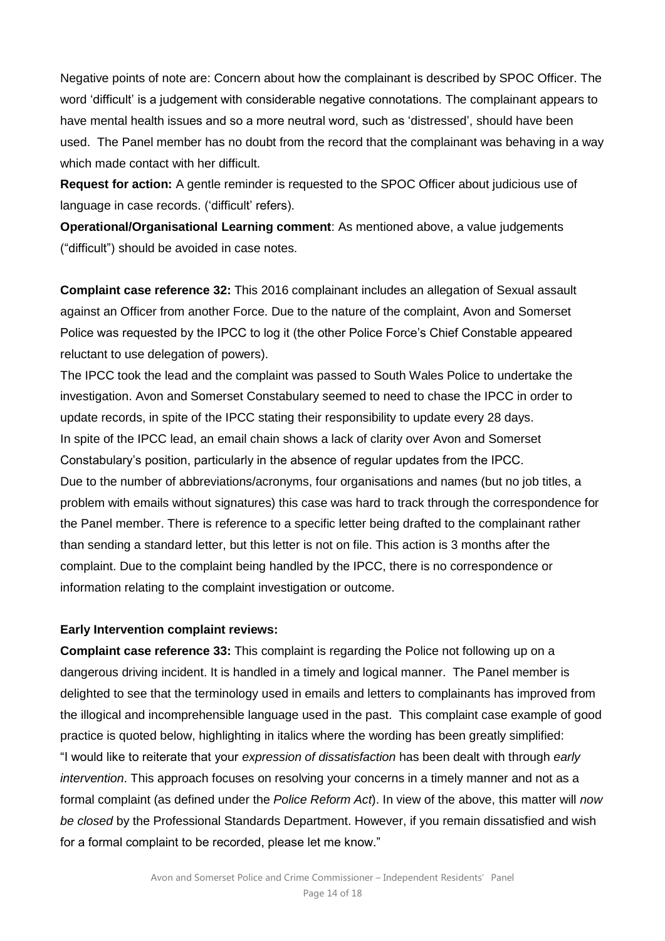Negative points of note are: Concern about how the complainant is described by SPOC Officer. The word 'difficult' is a judgement with considerable negative connotations. The complainant appears to have mental health issues and so a more neutral word, such as 'distressed', should have been used. The Panel member has no doubt from the record that the complainant was behaving in a way which made contact with her difficult.

**Request for action:** A gentle reminder is requested to the SPOC Officer about judicious use of language in case records. ('difficult' refers).

**Operational/Organisational Learning comment**: As mentioned above, a value judgements ("difficult") should be avoided in case notes.

**Complaint case reference 32:** This 2016 complainant includes an allegation of Sexual assault against an Officer from another Force. Due to the nature of the complaint, Avon and Somerset Police was requested by the IPCC to log it (the other Police Force's Chief Constable appeared reluctant to use delegation of powers).

The IPCC took the lead and the complaint was passed to South Wales Police to undertake the investigation. Avon and Somerset Constabulary seemed to need to chase the IPCC in order to update records, in spite of the IPCC stating their responsibility to update every 28 days. In spite of the IPCC lead, an email chain shows a lack of clarity over Avon and Somerset Constabulary's position, particularly in the absence of regular updates from the IPCC. Due to the number of abbreviations/acronyms, four organisations and names (but no job titles, a problem with emails without signatures) this case was hard to track through the correspondence for the Panel member. There is reference to a specific letter being drafted to the complainant rather than sending a standard letter, but this letter is not on file. This action is 3 months after the complaint. Due to the complaint being handled by the IPCC, there is no correspondence or information relating to the complaint investigation or outcome.

#### **Early Intervention complaint reviews:**

**Complaint case reference 33:** This complaint is regarding the Police not following up on a dangerous driving incident. It is handled in a timely and logical manner. The Panel member is delighted to see that the terminology used in emails and letters to complainants has improved from the illogical and incomprehensible language used in the past. This complaint case example of good practice is quoted below, highlighting in italics where the wording has been greatly simplified: "I would like to reiterate that your *expression of dissatisfaction* has been dealt with through *early intervention*. This approach focuses on resolving your concerns in a timely manner and not as a formal complaint (as defined under the *Police Reform Act*). In view of the above, this matter will *now be closed* by the Professional Standards Department. However, if you remain dissatisfied and wish for a formal complaint to be recorded, please let me know."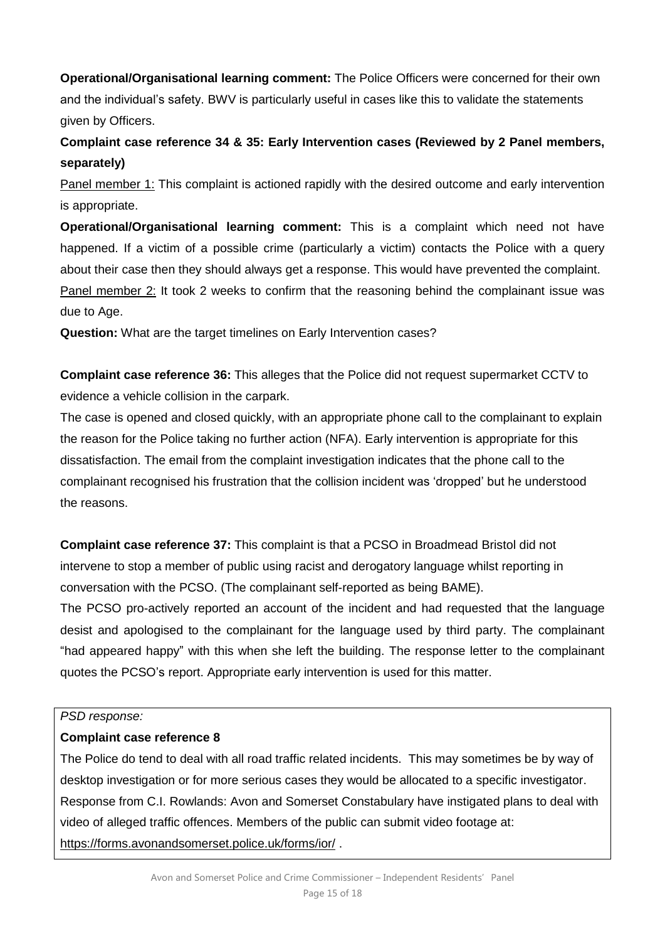**Operational/Organisational learning comment:** The Police Officers were concerned for their own and the individual's safety. BWV is particularly useful in cases like this to validate the statements given by Officers.

**Complaint case reference 34 & 35: Early Intervention cases (Reviewed by 2 Panel members, separately)** 

Panel member 1: This complaint is actioned rapidly with the desired outcome and early intervention is appropriate.

**Operational/Organisational learning comment:** This is a complaint which need not have happened. If a victim of a possible crime (particularly a victim) contacts the Police with a query about their case then they should always get a response. This would have prevented the complaint. Panel member 2: It took 2 weeks to confirm that the reasoning behind the complainant issue was due to Age.

**Question:** What are the target timelines on Early Intervention cases?

**Complaint case reference 36:** This alleges that the Police did not request supermarket CCTV to evidence a vehicle collision in the carpark.

The case is opened and closed quickly, with an appropriate phone call to the complainant to explain the reason for the Police taking no further action (NFA). Early intervention is appropriate for this dissatisfaction. The email from the complaint investigation indicates that the phone call to the complainant recognised his frustration that the collision incident was 'dropped' but he understood the reasons.

**Complaint case reference 37:** This complaint is that a PCSO in Broadmead Bristol did not intervene to stop a member of public using racist and derogatory language whilst reporting in conversation with the PCSO. (The complainant self-reported as being BAME).

The PCSO pro-actively reported an account of the incident and had requested that the language desist and apologised to the complainant for the language used by third party. The complainant "had appeared happy" with this when she left the building. The response letter to the complainant quotes the PCSO's report. Appropriate early intervention is used for this matter.

#### *PSD response:*

## **Complaint case reference 8**

The Police do tend to deal with all road traffic related incidents. This may sometimes be by way of desktop investigation or for more serious cases they would be allocated to a specific investigator. Response from C.I. Rowlands: Avon and Somerset Constabulary have instigated plans to deal with video of alleged traffic offences. Members of the public can submit video footage at: <https://forms.avonandsomerset.police.uk/forms/ior/> .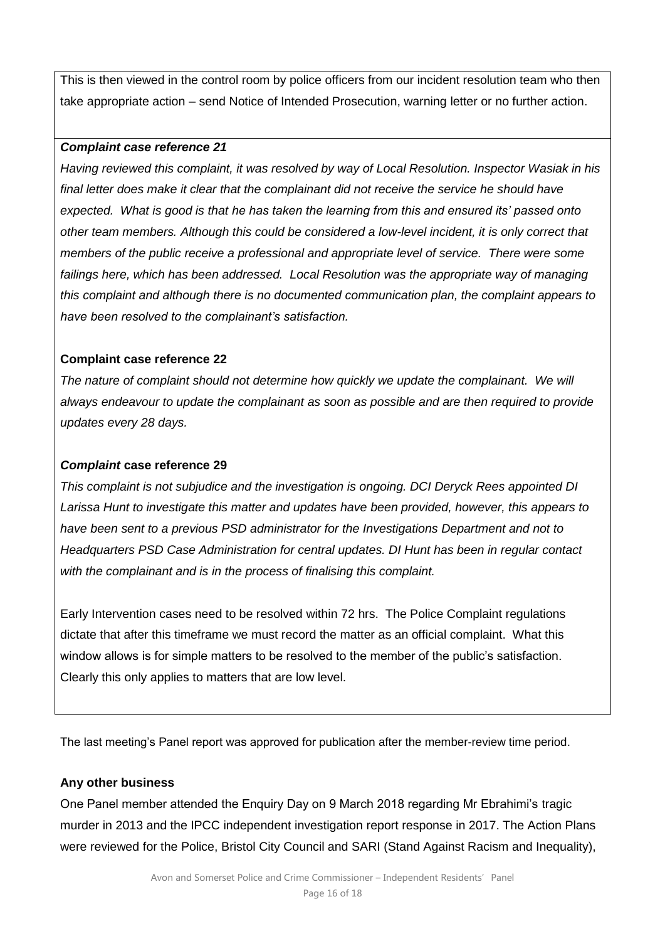This is then viewed in the control room by police officers from our incident resolution team who then take appropriate action – send Notice of Intended Prosecution, warning letter or no further action.

#### *Complaint case reference 21*

*Having reviewed this complaint, it was resolved by way of Local Resolution. Inspector Wasiak in his final letter does make it clear that the complainant did not receive the service he should have expected. What is good is that he has taken the learning from this and ensured its' passed onto other team members. Although this could be considered a low-level incident, it is only correct that members of the public receive a professional and appropriate level of service. There were some failings here, which has been addressed. Local Resolution was the appropriate way of managing this complaint and although there is no documented communication plan, the complaint appears to have been resolved to the complainant's satisfaction.*

#### **Complaint case reference 22**

*The nature of complaint should not determine how quickly we update the complainant. We will always endeavour to update the complainant as soon as possible and are then required to provide updates every 28 days.* 

#### *Complaint* **case reference 29**

*This complaint is not subjudice and the investigation is ongoing. DCI Deryck Rees appointed DI Larissa Hunt to investigate this matter and updates have been provided, however, this appears to have been sent to a previous PSD administrator for the Investigations Department and not to Headquarters PSD Case Administration for central updates. DI Hunt has been in regular contact with the complainant and is in the process of finalising this complaint.* 

Early Intervention cases need to be resolved within 72 hrs. The Police Complaint regulations dictate that after this timeframe we must record the matter as an official complaint. What this window allows is for simple matters to be resolved to the member of the public's satisfaction. Clearly this only applies to matters that are low level.

The last meeting's Panel report was approved for publication after the member-review time period.

#### **Any other business**

One Panel member attended the Enquiry Day on 9 March 2018 regarding Mr Ebrahimi's tragic murder in 2013 and the IPCC independent investigation report response in 2017. The Action Plans were reviewed for the Police, Bristol City Council and SARI (Stand Against Racism and Inequality),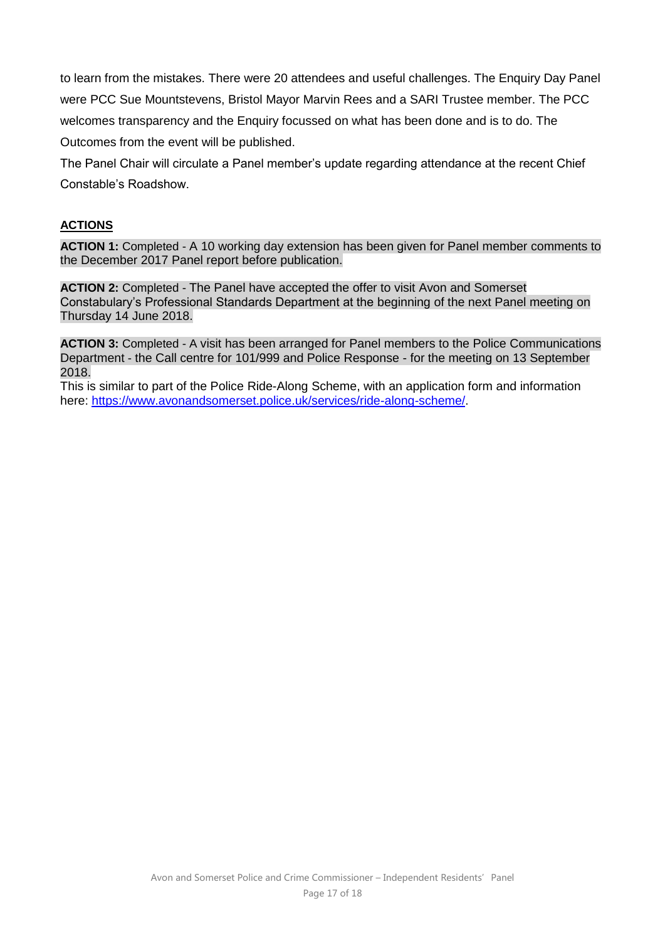to learn from the mistakes. There were 20 attendees and useful challenges. The Enquiry Day Panel were PCC Sue Mountstevens, Bristol Mayor Marvin Rees and a SARI Trustee member. The PCC welcomes transparency and the Enquiry focussed on what has been done and is to do. The Outcomes from the event will be published.

The Panel Chair will circulate a Panel member's update regarding attendance at the recent Chief Constable's Roadshow.

## **ACTIONS**

**ACTION 1:** Completed - A 10 working day extension has been given for Panel member comments to the December 2017 Panel report before publication.

**ACTION 2:** Completed - The Panel have accepted the offer to visit Avon and Somerset Constabulary's Professional Standards Department at the beginning of the next Panel meeting on Thursday 14 June 2018.

**ACTION 3:** Completed - A visit has been arranged for Panel members to the Police Communications Department - the Call centre for 101/999 and Police Response - for the meeting on 13 September 2018.

This is similar to part of the Police Ride-Along Scheme, with an application form and information here:<https://www.avonandsomerset.police.uk/services/ride-along-scheme/>.